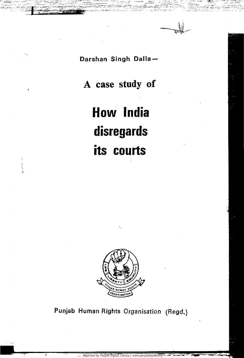*i~,- ^ M* • ^ —

. – Andrej Maria II. – Andrej Maria II. – Andrej Maria II. – Andrej Maria II. – Andrej Maria II. – Andrej Mari<br>1970 – Andrej Maria II. – Andrej Maria II. – Andrej Maria II. – Andrej Maria II. – Andrej Maria II. – Andrej M

### Darshan Singh Dalla

 $\mu_{\rm max}$  , where  $\mu_{\rm max}$  is  $\mu_{\rm max}$  of  $\pi_{\rm max}$  . But it is the set of  $\pi_{\rm max}$  in each , we can expect the set of  $\mu_{\rm max}$ 

## **A case study of**

# **How India**

**disregards** 

 $\bullet$  . The second is the second  $\bullet$ 

# **its courts**



## Punjab Human Rights Organisation (Regd.)

ما في المركز

К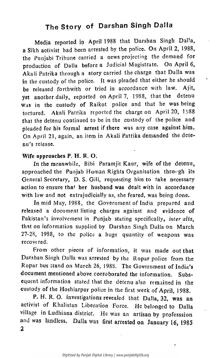### The Story of Darshan Singh Dalla

Media reported in April 1988 that Darshan Singh Dalla, a Sikh activist had been arrested by the police. On April 2, 1988, the Punjabi Tribune carried a news projecting the demand for production of Dalla before a Judicial Magistrate. On April 6, Akali Patrika through a story carried the charge that Dalla was in the custody of the police. It was pleaded that either he should be released forthwith or tried in accordance with law. Ajit, yet another daily, reported on April 7, 1988, that the detenu was in the custody of Raikot police and that he was being tortured. Akali Patrika reported the charge on April 20, 1988 that the detenu continued to be in the custody of the police and pleaded for his formal arrest if there was any case against him. On April 21, again, an item in Akali Patrika demanded the detenu's release.

### Wife approaches P. H. R. O.

In the meanwhile, Bibi Paramjit Kaur, wife of the detenu, approached the Punjab Human Rights Organisation through its General Secretary, D. S. Gill, requesting him to take necessary action to ensure that her husband was dealt with in accordance with law and not extrajudicially as, she feared, was being done.

In mid May, 1988, the Government of India prepared and released a document listing charges against and evidence of Pakistan's involvement in Punjab stating specifically, *inter alia,*  that on information supplied by Darshan Singh Dalla on March 27-28, 1988, to the police a huge quantity of weapons was recovered'.

From other pieces of information, it was made out that Darshan Singh Dalla was arrested by the Ropar police from the Ropar bus stand on March 26, 198S. The Government of India's document mentioned above corroborated the information. Subsequent information stated that the detenu also remained in the custody of the Hoshiarpur police in the first week of April, 1988. P. H. R. O. investigations revealed that Dalla, 32, was an activist of Khalistan Liberation Force. He belonged to Dalla village in Ludhiana district. He was an artisan by professsion and was landless. Dalla was first arrested on January 16, 1985 2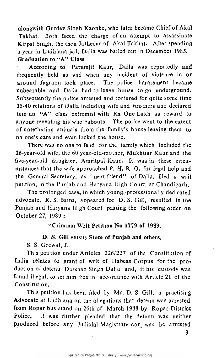alongwith Gurdev Singh Kaonke, who later became Chief of Akal Takhat. Both faced the charge of an attempt to assassinate Kirpal Singh, the then Jathedar of Akal Takhat. After spending a year in Ludhiana jail, Dalla was bailed out in December 1985. Graduation to "A" Class

According to Paramjit Kaur, Dalla was reportedly and frequently held as and when any incident of violence in or around Jagraon took place. The police harassment became unbearable and Dalla had *to* leave house to go underground. Subsequently the police arrested and tortured for quite some time 35-40 relations of Dalla including wife and brothers and declared him an "A" class extremist with Rs. One Lakh as reward to anyone revealing his whereabouts. The police went to the extent of untethering animals from the family's house leaving them to no one's care and even locked the house.

There was no one to fend for the family which included the 26-year-old wife, the 60 year-old-mother, Mukhtiar Kaur and the five-year-old daughter, Amritpal Kaur. It was in these circumstances that the wife approached P. H. R. O. for legal help and the General Secretary, as "next friend" of Dalla, filed a writ petition, in the Punjab and Haryana High Court, at Chandigarh. The prolonged case, in which young,-professionally dedicated advocate, R. S. Bains, appeared for D.S.Gill, resulted in the Punjab and Haryana High Court passing the following order on October 27, 1989 :

"Criminal Writ Petition No 1779 of 1989.

### D. S. Gill versus State of Punjab and others.

S. S. Grewal, J.

 $\mathcal{L}_{\mathcal{A}}$ 

This petition under Articles 226/227 of the Constitution of India relates to grant of writ of Habeas Corpus for the production of detenu Darshan Singh Dalla and, if his custody was found illegal, to set him free in accordance with Article 21 of the Constitution.

This petition has been filed by Mr. D. S. Gill, a practising Advocate at Ludhiana on the allegations that detenu was arrested from Ropar bus stand on 26th of March 1988 by Ropar District Police. It was further pleaded that the detenu was neither produced before any Judicial Magistrate nor was he arrested

Digitized by Panjab Digital Library | www.panjabdigilib.org

3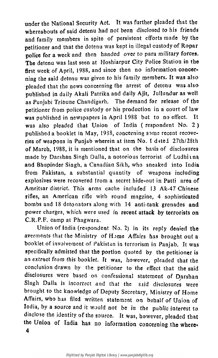under the National Security Act. It was further pleaded that the whereabouts of said detenu had not been disclosed to his friends and family members in spite of persistent efforts made by the petitioner and that the detenu was kept in illegal custody of Ropar police for a week and then handed over to para military forces. The detenu was last seen at Hoshiarpur City Police Station in the first week of April, 1988, and since then no information concerning the said detenu was given to his family members. It was also pleaded that the news concerning the arrest of detenu was also published in daily Akali Patrika and daily Ajit, Jullundur as well as Punjabi Tribune Chandigarh. The demand for release of the petitioner from police custody or his production in a court of law was published in newspapers in April 1988 but to no effect. It was also pleaded that Union of India ( respondent No. 2 )

published a booklet in May, 19S8, concerning some recent recoveries of weapons in Punjab wherein at item No. I dated 27th/28th of March, 1988, it is mentioned that on the basis of disclosures made by Darshan Singh Dalla, a notorious terrorist of Ludhina and Bhupinder Singh, a Canadian Sikh, who sneaked into India from Pakistan, a substantial quantity of weapons including explosives were recovered from a secret hide-out in Patti area of Amritsar district. This arms cache included 13 Ak-47 Chinese rifles, an American rifle with round magzine, 4 sophisticated bombs and 18 detonators along with 14 anti-tank grenades and power charges, which were used in recent attack by terrorists on C.R.P.F. camp at Phagwara. Union of India (respondent No. 2) in its reply denied the averments that the Ministry of Home Affairs has brought out a booklet of involvement of Pakistan in terrorism in Panjab. It was specifically admitted that the portion quoted by the petitioner is an extract from this booklet. It was, however, pleaded that the conclusion drawn by the petitioner to the effect that the said disclosures were based on confessional statement of Darshan Singh Dalla is incorrect and that the said disclosures were brought to the knowledge of Deputy Secretary, Ministry of Home Affairs, who has filed written statement on behalf of Union of India, by a source and it would not be in the public interest to disclose the identity of the source. It was, however, pleaded that the Union of India has no information concerning the where-4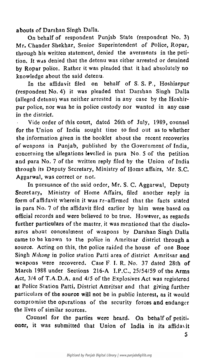aboufs of Darshan Singh Dalla.

On behalf of respondent Punjab State (respondent No. 3) Mr. Chander Shekhar, Senior Superintendent of Police, Ropar, through his written statement, denied the averments in the petition. It was denied that the detenu was either arrested or detained by Ropar police. Rather *it* was pleaded that it had absolutely no knowledge about the said detenu.

In the affidavit filed on behalf of S. S. P., Hoshiarpur (respondent No. 4) it was pleaded that Darshan Singh Dalla (alleged detenu) was neither arrested in any case by the Hoshirpur police, nor was he in police custody nor wanted in any case in the district.

Vide order of this court, dated 26th of July, 1989, counsel for the Union of India sought time to find out as to whether the information given in the booklet about the recent recoveries

of weapons in Punjab, published by the Government of India, concerning the allegations levelled in para No. 5 of the petition and para No. 7 of the written reply filed by the Union of India through its Deputy Secretary, Ministry of Home affairs, Mr. S.C. Aggarwal, was correct or not.

Counsel for the parties were heard. On behalf of petitioner, it was submitted that Union of India in its affidavit

Digitized by Panjab Digital Library | www.panjabdigilib.org

In pursuance of the said order, Mr. S. C. Aggarwal, Deputy Secretary, Ministry of Home Affairs, filed another reply in form of affidavit wherein it was re-affirmed that the facts stated in para No. 7 of the affidavit filed earlier by him were based on official records and were believed to be true. However, as regards further particulars of the matter, it was mentioned that the disclosures about concealment of weapons by Darshan Singh Dalla came to be known to the police in Amritsar district through a source. Acting on this, the police raided the house of one Boor Singh *Nihang* in police station Patti area of district Amritsar and weapons were recovered. Case F. I. R. No. 37 dated 28th of March 1988 under Sections 216-A I.P.C., 25/54/59 of the Arms Act, 3/4 of T.A.D.A. and 4/5 of the Explosives Act was registered at Police Station Patti, District Amritsar and that giving further particulars of the source will not be in public interest, as it would compromise the operations of the security forces and endanger the lives of similar sources.

**5**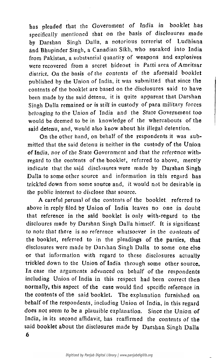has pleaded that the Government of India in booklet has specifically mentioned that on the basis of disclosures made by Darshan Singh Dalla, a notorious terrorist of Ludhiana and Bhupinder Singh, a Canadian Sikh, who sneaked into India from Pakistan, a substantial quantity of weapons and explosives were recovered from a secret hideout in Patti area of Amritsar district. On the basis of the contents of the aforesaid booklet published by the Union of India, it was submitted that since the contents of the booklet are based on the disclosures said to have been made by the said detenu, it is quite apparent that Darshan Singh Dalla remained or is still in custody of para military forces belonging to the Union of India and the State Government too would be deemed to be in knowledge of the whereabouts of the said detenu, and, would also know about his illegal detention.

On the other hand, on behalf of the respondents it was submitted that the said detenu is neither in the custody of the Union of India, nor of the State Government and that the reference withregard to the contents of the booklet, referred to above, merely indicate that the said disclosures were made by Darshan Singh Dalla to some other source and information in this regard has trickled down from some source and, it would not be desirable in the public interest to disclose that source. A careful perusal of the contents of the booklet, referred to above in reply filed by Union of India leaves no one in doubt that reference in the said booklet is only with-regard to the discloures made by Darshan Singh Dalla himself. It is significant to note that there is no reference whatsoever in the contents of the booklet, referred to in the pleadings of the parties, that disclosures were made by Darshan Singh Dalla to some one else or that information with regard to these disclosures actually trickled down to the Union of India through some other source. In case the arguments advanced on behalf of the respondents including Union of India in this respect had been correct then normally, this aspect of the case would find specific reference in the contents of the said booklet. The explanation furnished on behalf of the respondents, including Union of India, in this regard does not seem to be a plausible explanation. Since the Union of India, in its second affidavit, has reaffirmed the contents of the said booklet about the disclosures made by Darshan Singh Dalla **6**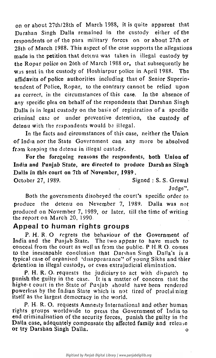on or about 27th/28th of March 1988, it is quite apparent that Darshan Singh Dalla remained in the custody ei(her of the respondents or of the para military forces on or about 27th or 28th of March 1988. This aspect of the case supports the allegations made in the petition that detenu was taken in illegal custody by the Ropar police on 26th of March 1988 or, that subsequently he was sent in the custody of Hoshiarpur police in April 1988. The affidavits of police authorities including that of Senior Superintendent of Police, Ropar, to the contrary cannot be relied upon as correct, in the circumstances of this case. Jn the absence of any specific plea on behalf of the respondents that Darshan Singh Dalla is in legal custody on the basis of registration of a specific criminal case or under preventive detention, the custody of detenu with the respondents would be illegal.

P. H. R. O. regrets the behaviour of the Government of India and the Punjab State. The two appear to have much to conceal from the court as well as from the public. P H.R O. comes to the inescapable conclusion that Darshan Singh Dalla's is a typical case of organised 'disappearance'' of young Sikhs and thier detention in illegal custody, or even extrajudicial elimination.

In the facts and circumstances of this case, neither the Union of India nor the State Government can any more be absolved

from keeping the detenu in illegal custody.

For the foregoing reasons the respondents, both Union of India and Punjab State, are directed to produce Darshan Singh Dalla in this court on 7th of November, 1989.

October 27, 1989. Signed : S. S. Grewal

Judge".

Both the governments disobeyed the court's specific order to. produce the detenu on Nevember 7, 1989. Dalla was not produced on November 7, 1989, or later, till the time of writing the report *on* March 20, 1990

### Appeal to human rights groups

P. H. R. O. requests the judiciary to act with dispatch to punish the guilty in the case. It is a matter of concern that the highe t court in the State of Punjab should have been rendered powerless by the Indian State which is not tired of proclaiming itself as the largest democracy in the world.

P. H. R. O. requests Amnesty International and other human rights groups worldwide to press the Government of India to end criminalisation of the security forces, punish the guilty in the Dalla case, adequately compensate the affected family and release or try Darshan Singh Dalla. o